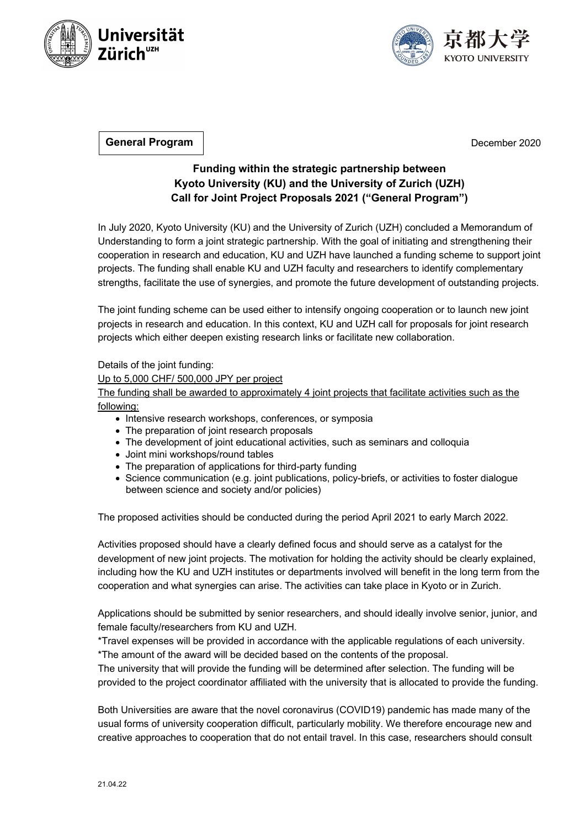



**General Program**

December 2020

## **Funding within the strategic partnership between Kyoto University (KU) and the University of Zurich (UZH) Call for Joint Project Proposals 2021 ("General Program")**

In July 2020, Kyoto University (KU) and the University of Zurich (UZH) concluded a Memorandum of Understanding to form a joint strategic partnership. With the goal of initiating and strengthening their cooperation in research and education, KU and UZH have launched a funding scheme to support joint projects. The funding shall enable KU and UZH faculty and researchers to identify complementary strengths, facilitate the use of synergies, and promote the future development of outstanding projects.

The joint funding scheme can be used either to intensify ongoing cooperation or to launch new joint projects in research and education. In this context, KU and UZH call for proposals for joint research projects which either deepen existing research links or facilitate new collaboration.

Details of the joint funding:

Up to 5,000 CHF/ 500,000 JPY per project

The funding shall be awarded to approximately 4 joint projects that facilitate activities such as the following:

- Intensive research workshops, conferences, or symposia
- The preparation of joint research proposals
- The development of joint educational activities, such as seminars and colloquia
- Joint mini workshops/round tables
- The preparation of applications for third-party funding
- Science communication (e.g. joint publications, policy-briefs, or activities to foster dialogue between science and society and/or policies)

The proposed activities should be conducted during the period April 2021 to early March 2022.

Activities proposed should have a clearly defined focus and should serve as a catalyst for the development of new joint projects. The motivation for holding the activity should be clearly explained, including how the KU and UZH institutes or departments involved will benefit in the long term from the cooperation and what synergies can arise. The activities can take place in Kyoto or in Zurich.

Applications should be submitted by senior researchers, and should ideally involve senior, junior, and female faculty/researchers from KU and UZH.

\*Travel expenses will be provided in accordance with the applicable regulations of each university. \*The amount of the award will be decided based on the contents of the proposal.

The university that will provide the funding will be determined after selection. The funding will be provided to the project coordinator affiliated with the university that is allocated to provide the funding.

Both Universities are aware that the novel coronavirus (COVID19) pandemic has made many of the usual forms of university cooperation difficult, particularly mobility. We therefore encourage new and creative approaches to cooperation that do not entail travel. In this case, researchers should consult